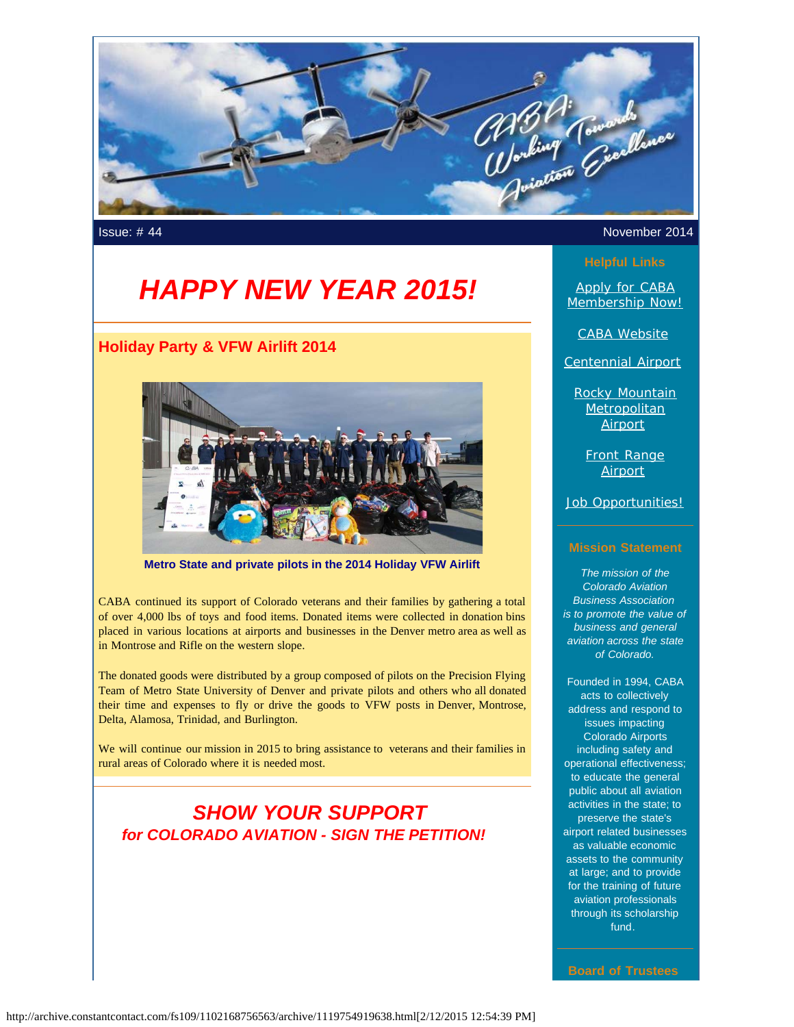

# *HAPPY NEW YEAR 2015!*

# **Holiday Party & VFW Airlift 2014**



**Metro State and private pilots in the 2014 Holiday VFW Airlift**

CABA continued its support of Colorado veterans and their families by gathering a total of over 4,000 lbs of toys and food items. Donated items were collected in donation bins placed in various locations at airports and businesses in the Denver metro area as well as in Montrose and Rifle on the western slope.

The donated goods were distributed by a group composed of pilots on the Precision Flying Team of Metro State University of Denver and private pilots and others who all donated their time and expenses to fly or drive the goods to VFW posts in Denver, Montrose, Delta, Alamosa, Trinidad, and Burlington.

We will continue our mission in 2015 to bring assistance to veterans and their families in rural areas of Colorado where it is needed most.

# *SHOW YOUR SUPPORT for COLORADO AVIATION - SIGN THE PETITION!*

#### Issue: # 44 November 2014

[Apply for CABA](http://www.mycaba.org/application?utm_source=Newsletter+January+2015&utm_campaign=January+2015+Newsletter&utm_medium=email) [Membership Now!](http://www.mycaba.org/application?utm_source=Newsletter+January+2015&utm_campaign=January+2015+Newsletter&utm_medium=email)

[CABA Website](http://www.mycaba.org/?utm_source=Newsletter+January+2015&utm_campaign=January+2015+Newsletter&utm_medium=email)

[Centennial Airport](http://centennialairport.com/?utm_source=Newsletter+January+2015&utm_campaign=January+2015+Newsletter&utm_medium=email)

[Rocky Mountain](http://jeffco.us/airport/?utm_source=Newsletter+January+2015&utm_campaign=January+2015+Newsletter&utm_medium=email) **[Metropolitan](http://jeffco.us/airport/?utm_source=Newsletter+January+2015&utm_campaign=January+2015+Newsletter&utm_medium=email)** [Airport](http://jeffco.us/airport/?utm_source=Newsletter+January+2015&utm_campaign=January+2015+Newsletter&utm_medium=email)

[Front Range](http://www.ftg-airport.com/?utm_source=Newsletter+January+2015&utm_campaign=January+2015+Newsletter&utm_medium=email) **[Airport](http://www.ftg-airport.com/?utm_source=Newsletter+January+2015&utm_campaign=January+2015+Newsletter&utm_medium=email)** 

[Job Opportunities!](http://mycaba.org/JobOps?utm_source=Newsletter+January+2015&utm_campaign=January+2015+Newsletter&utm_medium=email)

#### **Mission Statement**

*The mission of the Colorado Aviation Business Association is to promote the value of business and general aviation across the state of Colorado.*

Founded in 1994, CABA acts to collectively address and respond to issues impacting Colorado Airports including safety and operational effectiveness; to educate the general public about all aviation activities in the state; to preserve the state's airport related businesses as valuable economic assets to the community at large; and to provide for the training of future aviation professionals through its scholarship fund.

**Board of Trustees**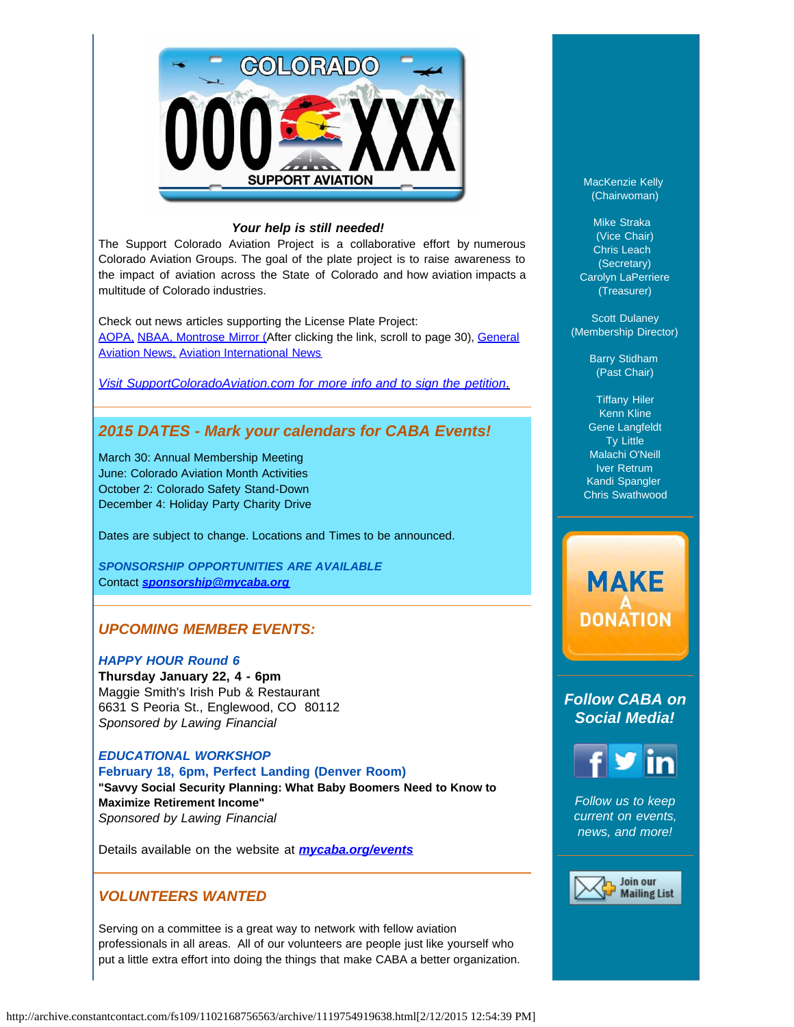

#### *Your help is still needed!*

The Support Colorado Aviation Project is a collaborative effort by numerous Colorado Aviation Groups. The goal of the plate project is to raise awareness to the impact of aviation across the State of Colorado and how aviation impacts a multitude of Colorado industries.

Check out news articles supporting the License Plate Project: [AOPA,](http://www.aopa.org/News-and-Video/All-News/2014/June/11/Colorado-petition-seeks-aviation-license-plate.aspx?utm_source=Newsletter+January+2015&utm_campaign=January+2015+Newsletter&utm_medium=email) [NBAA](http://www.nbaa.org/advocacy/regional/20140704-proposed-license-plate-would-support-colorado-aviation.php?utm_source=Newsletter+January+2015&utm_campaign=January+2015+Newsletter&utm_medium=email)[, Montrose Mirror \(A](http://montrosemirror.com/wp-content/uploads/2014/07/ISSUE88.pdf?utm_source=Campaign+Created+2014%2F07%2F15%2C+7%3A14+AM&utm_campaign=ISSUE88&utm_medium=email&utm_source=Newsletter+January+2015&utm_campaign=January+2015+Newsletter&utm_medium=email)fter clicking the link, scroll to page 30), [General](http://generalaviationnews.com/2014/06/30/colorado-support-aviation-license-plate-introduced/?utm_source=Newsletter+January+2015&utm_campaign=January+2015+Newsletter&utm_medium=email) [Aviation News,](http://generalaviationnews.com/2014/06/30/colorado-support-aviation-license-plate-introduced/?utm_source=Newsletter+January+2015&utm_campaign=January+2015+Newsletter&utm_medium=email) [Aviation International News](http://www.ainonline.com/aviation-news/ainalerts/2014-06-19/colorado-aviation-groups-seek-signatures-aviation-license-plate-project?utm_source=Newsletter+January+2015&utm_campaign=January+2015+Newsletter&utm_medium=email)

*[Visit SupportColoradoAviation.com for more info and to sign the petition](http://www.supportcoloradoaviation.com/?utm_source=Newsletter+January+2015&utm_campaign=January+2015+Newsletter&utm_medium=email)*[.](http://www.supportcoloradoaviation.com/?utm_source=Newsletter+January+2015&utm_campaign=January+2015+Newsletter&utm_medium=email)

# *2015 DATES - Mark your calendars for CABA Events!*

March 30: Annual Membership Meeting June: Colorado Aviation Month Activities October 2: Colorado Safety Stand-Down December 4: Holiday Party Charity Drive

Dates are subject to change. Locations and Times to be announced.

*SPONSORSHIP OPPORTUNITIES ARE AVAILABLE* Contact *[sponsorship@mycaba.org](mailto:sponsorship@mycaba.org)*

# *UPCOMING MEMBER EVENTS:*

#### *HAPPY HOUR Round 6*

**Thursday January 22, 4 - 6pm**  Maggie Smith's Irish Pub & Restaurant 6631 S Peoria St., Englewood, CO 80112 *Sponsored by Lawing Financial*

## *EDUCATIONAL WORKSHOP* **February 18, 6pm, Perfect Landing (Denver Room) "Savvy Social Security Planning: What Baby Boomers Need to Know to Maximize Retirement Income"** *Sponsored by Lawing Financial*

Details available on the website at *[mycaba.org/events](http://mycaba.org/events?utm_source=Newsletter+January+2015&utm_campaign=January+2015+Newsletter&utm_medium=email)*

### *VOLUNTEERS WANTED*

Serving on a committee is a great way to network with fellow aviation professionals in all areas. All of our volunteers are people just like yourself who put a little extra effort into doing the things that make CABA a better organization. MacKenzie Kelly (Chairwoman)

Mike Straka (Vice Chair) Chris Leach (Secretary) Carolyn LaPerriere (Treasurer)

Scott Dulaney (Membership Director)

> Barry Stidham (Past Chair)

Tiffany Hiler Kenn Kline Gene Langfeldt Ty Little Malachi O'Neill Iver Retrum Kandi Spangler Chris Swathwood

# **MAKE DONATION**

*Follow CABA on Social Media!*



*Follow us to keep current on events, news, and more!*